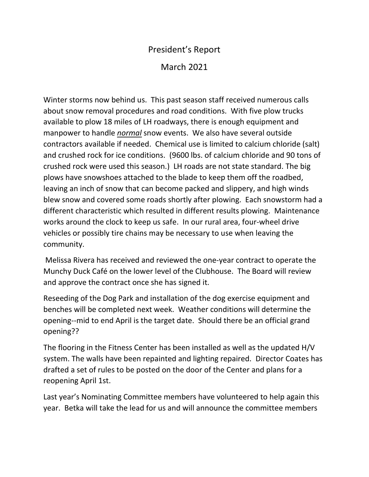## President's Report March 2021

Winter storms now behind us. This past season staff received numerous calls about snow removal procedures and road conditions. With five plow trucks available to plow 18 miles of LH roadways, there is enough equipment and manpower to handle *normal* snow events. We also have several outside contractors available if needed. Chemical use is limited to calcium chloride (salt) and crushed rock for ice conditions. (9600 lbs. of calcium chloride and 90 tons of crushed rock were used this season.) LH roads are not state standard. The big plows have snowshoes attached to the blade to keep them off the roadbed, leaving an inch of snow that can become packed and slippery, and high winds blew snow and covered some roads shortly after plowing. Each snowstorm had a different characteristic which resulted in different results plowing. Maintenance works around the clock to keep us safe. In our rural area, four-wheel drive vehicles or possibly tire chains may be necessary to use when leaving the community.

Melissa Rivera has received and reviewed the one-year contract to operate the Munchy Duck Café on the lower level of the Clubhouse. The Board will review and approve the contract once she has signed it.

Reseeding of the Dog Park and installation of the dog exercise equipment and benches will be completed next week. Weather conditions will determine the opening--mid to end April is the target date. Should there be an official grand opening??

The flooring in the Fitness Center has been installed as well as the updated H/V system. The walls have been repainted and lighting repaired. Director Coates has drafted a set of rules to be posted on the door of the Center and plans for a reopening April 1st.

Last year's Nominating Committee members have volunteered to help again this year. Betka will take the lead for us and will announce the committee members